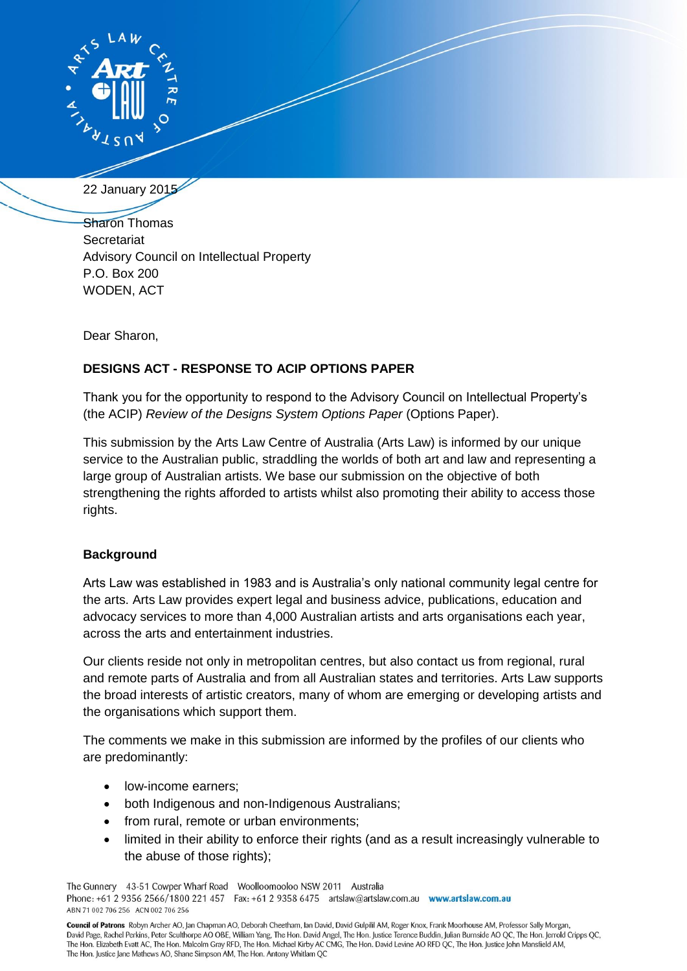

22 January 2015

Sharon Thomas **Secretariat** Advisory Council on Intellectual Property P.O. Box 200 WODEN, ACT

Dear Sharon,

# **DESIGNS ACT - RESPONSE TO ACIP OPTIONS PAPER**

Thank you for the opportunity to respond to the Advisory Council on Intellectual Property's (the ACIP) *Review of the Designs System Options Paper* (Options Paper).

This submission by the Arts Law Centre of Australia (Arts Law) is informed by our unique service to the Australian public, straddling the worlds of both art and law and representing a large group of Australian artists. We base our submission on the objective of both strengthening the rights afforded to artists whilst also promoting their ability to access those rights.

## **Background**

Arts Law was established in 1983 and is Australia's only national community legal centre for the arts. Arts Law provides expert legal and business advice, publications, education and advocacy services to more than 4,000 Australian artists and arts organisations each year, across the arts and entertainment industries.

Our clients reside not only in metropolitan centres, but also contact us from regional, rural and remote parts of Australia and from all Australian states and territories. Arts Law supports the broad interests of artistic creators, many of whom are emerging or developing artists and the organisations which support them.

The comments we make in this submission are informed by the profiles of our clients who are predominantly:

- low-income earners;
- both Indigenous and non-Indigenous Australians;
- from rural, remote or urban environments;
- limited in their ability to enforce their rights (and as a result increasingly vulnerable to the abuse of those rights);

The Gunnery 43-51 Cowper Wharf Road Woolloomooloo NSW 2011 Australia Phone: +61 2 9356 2566/1800 221 457 Fax: +61 2 9358 6475 artslaw@artslaw.com.au www.artslaw.com.au ABN 71 002 706 256 ACN 002 706 256

Council of Patrons Robyn Archer AO, Jan Chapman AO, Deborah Cheetham, Ian David, David Gulpilil AM, Roger Knox, Frank Moorhouse AM, Professor Sally Morgan, David Page, Rachel Perkins, Peter Sculthorpe AO OBE, William Yang, The Hon. David Angel, The Hon. Justice Terence Buddin, Julian Burnside AO QC, The Hon. Jerrold Cripps QC, The Hon. Elizabeth Evatt AC, The Hon. Malcolm Gray RFD, The Hon. Michael Kirby AC CMG, The Hon. David Levine AO RFD QC, The Hon. Justice John Mansfield AM, The Hon. Justice Jane Mathews AO, Shane Simpson AM, The Hon. Antony Whitlam QC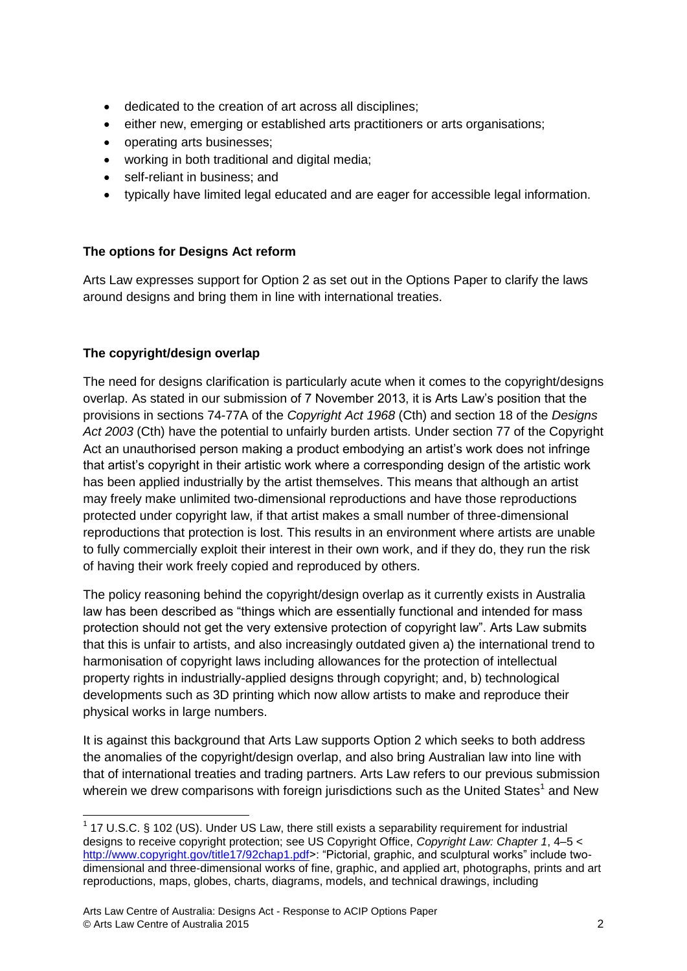- dedicated to the creation of art across all disciplines;
- either new, emerging or established arts practitioners or arts organisations;
- operating arts businesses;
- working in both traditional and digital media;
- self-reliant in business; and
- typically have limited legal educated and are eager for accessible legal information.

## **The options for Designs Act reform**

Arts Law expresses support for Option 2 as set out in the Options Paper to clarify the laws around designs and bring them in line with international treaties.

## **The copyright/design overlap**

**.** 

The need for designs clarification is particularly acute when it comes to the copyright/designs overlap. As stated in our submission of 7 November 2013, it is Arts Law's position that the provisions in sections 74-77A of the *Copyright Act 1968* (Cth) and section 18 of the *Designs Act 2003* (Cth) have the potential to unfairly burden artists. Under section 77 of the Copyright Act an unauthorised person making a product embodying an artist's work does not infringe that artist's copyright in their artistic work where a corresponding design of the artistic work has been applied industrially by the artist themselves. This means that although an artist may freely make unlimited two-dimensional reproductions and have those reproductions protected under copyright law, if that artist makes a small number of three-dimensional reproductions that protection is lost. This results in an environment where artists are unable to fully commercially exploit their interest in their own work, and if they do, they run the risk of having their work freely copied and reproduced by others.

The policy reasoning behind the copyright/design overlap as it currently exists in Australia law has been described as "things which are essentially functional and intended for mass protection should not get the very extensive protection of copyright law". Arts Law submits that this is unfair to artists, and also increasingly outdated given a) the international trend to harmonisation of copyright laws including allowances for the protection of intellectual property rights in industrially-applied designs through copyright; and, b) technological developments such as 3D printing which now allow artists to make and reproduce their physical works in large numbers.

It is against this background that Arts Law supports Option 2 which seeks to both address the anomalies of the copyright/design overlap, and also bring Australian law into line with that of international treaties and trading partners. Arts Law refers to our previous submission wherein we drew comparisons with foreign jurisdictions such as the United States<sup>1</sup> and New

 $1$  17 U.S.C. § 102 (US). Under US Law, there still exists a separability requirement for industrial designs to receive copyright protection; see US Copyright Office, *Copyright Law: Chapter 1*, 4–5 < [http://www.copyright.gov/title17/92chap1.pdf>](http://www.copyright.gov/title17/92chap1.pdf): "Pictorial, graphic, and sculptural works" include twodimensional and three-dimensional works of fine, graphic, and applied art, photographs, prints and art reproductions, maps, globes, charts, diagrams, models, and technical drawings, including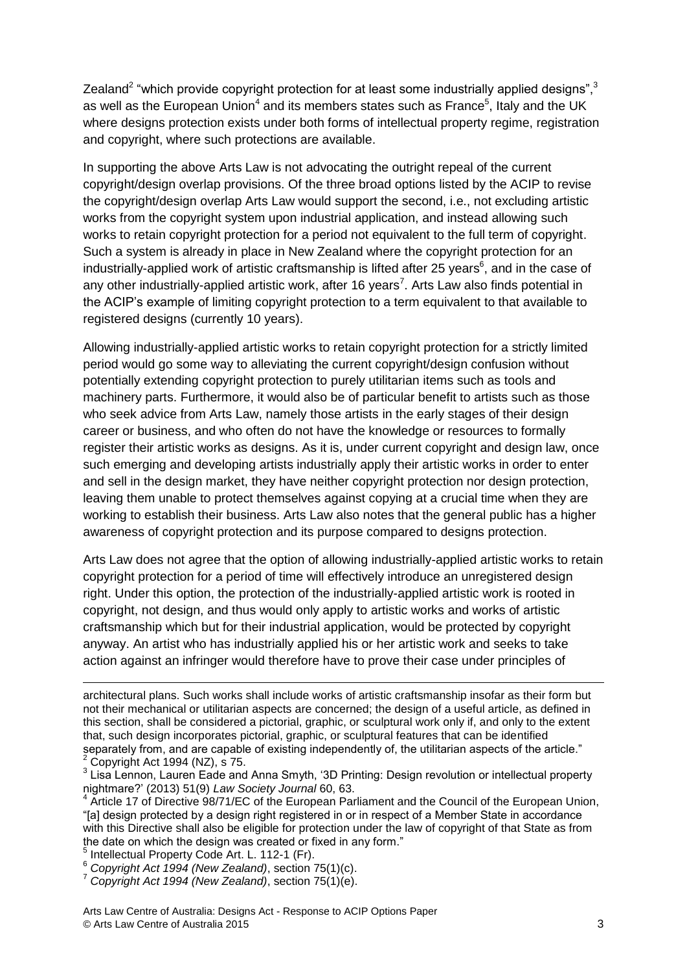Zealand<sup>2</sup> "which provide copyright protection for at least some industrially applied designs",<sup>3</sup> as well as the European Union<sup>4</sup> and its members states such as France<sup>5</sup>, Italy and the UK where designs protection exists under both forms of intellectual property regime, registration and copyright, where such protections are available.

In supporting the above Arts Law is not advocating the outright repeal of the current copyright/design overlap provisions. Of the three broad options listed by the ACIP to revise the copyright/design overlap Arts Law would support the second, i.e., not excluding artistic works from the copyright system upon industrial application, and instead allowing such works to retain copyright protection for a period not equivalent to the full term of copyright. Such a system is already in place in New Zealand where the copyright protection for an industrially-applied work of artistic craftsmanship is lifted after 25 years<sup>6</sup>, and in the case of any other industrially-applied artistic work, after 16 years<sup>7</sup>. Arts Law also finds potential in the ACIP's example of limiting copyright protection to a term equivalent to that available to registered designs (currently 10 years).

Allowing industrially-applied artistic works to retain copyright protection for a strictly limited period would go some way to alleviating the current copyright/design confusion without potentially extending copyright protection to purely utilitarian items such as tools and machinery parts. Furthermore, it would also be of particular benefit to artists such as those who seek advice from Arts Law, namely those artists in the early stages of their design career or business, and who often do not have the knowledge or resources to formally register their artistic works as designs. As it is, under current copyright and design law, once such emerging and developing artists industrially apply their artistic works in order to enter and sell in the design market, they have neither copyright protection nor design protection, leaving them unable to protect themselves against copying at a crucial time when they are working to establish their business. Arts Law also notes that the general public has a higher awareness of copyright protection and its purpose compared to designs protection.

Arts Law does not agree that the option of allowing industrially-applied artistic works to retain copyright protection for a period of time will effectively introduce an unregistered design right. Under this option, the protection of the industrially-applied artistic work is rooted in copyright, not design, and thus would only apply to artistic works and works of artistic craftsmanship which but for their industrial application, would be protected by copyright anyway. An artist who has industrially applied his or her artistic work and seeks to take action against an infringer would therefore have to prove their case under principles of

1

architectural plans. Such works shall include works of artistic craftsmanship insofar as their form but not their mechanical or utilitarian aspects are concerned; the design of a useful article, as defined in this section, shall be considered a pictorial, graphic, or sculptural work only if, and only to the extent that, such design incorporates pictorial, graphic, or sculptural features that can be identified separately from, and are capable of existing independently of, the utilitarian aspects of the article." Copyright Act 1994 (NZ), s 75.

 $3$  Lisa Lennon, Lauren Eade and Anna Smyth, '3D Printing: Design revolution or intellectual property nightmare?' (2013) 51(9) *Law Society Journal* 60, 63.

<sup>&</sup>lt;sup>4</sup> Article 17 of Directive 98/71/EC of the European Parliament and the Council of the European Union, "[a] design protected by a design right registered in or in respect of a Member State in accordance with this Directive shall also be eligible for protection under the law of copyright of that State as from the date on which the design was created or fixed in any form."

<sup>5</sup> Intellectual Property Code Art. L. 112-1 (Fr).

<sup>6</sup> *Copyright Act 1994 (New Zealand)*, section 75(1)(c).

<sup>7</sup> *Copyright Act 1994 (New Zealand)*, section 75(1)(e).